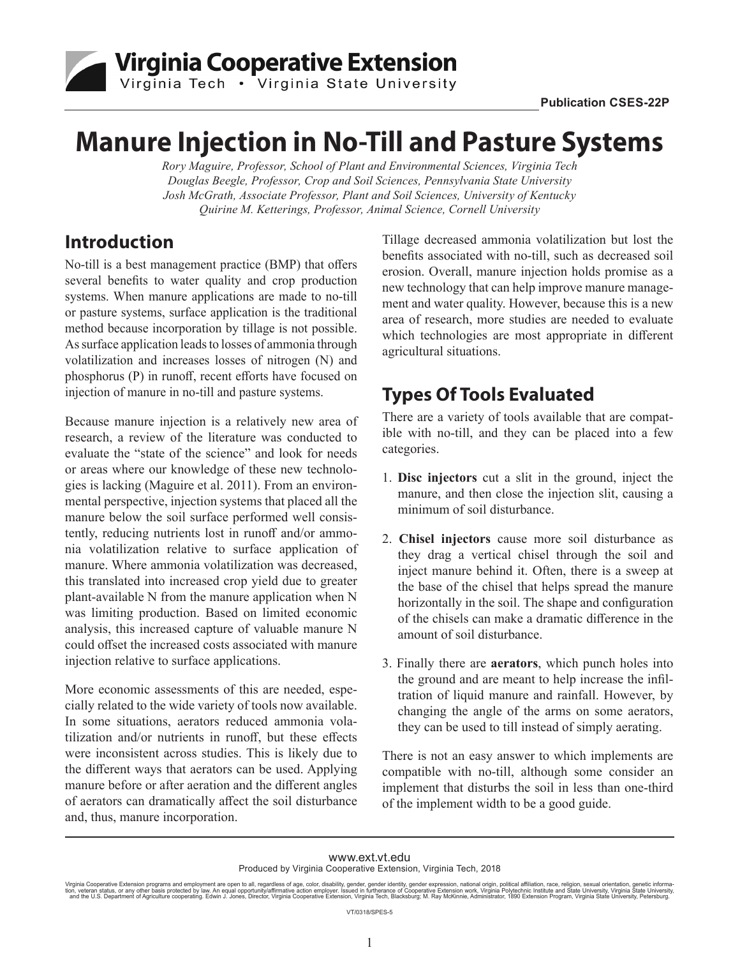

# **Manure Injection in No-Till and Pasture Systems**

*Rory Maguire, Professor, School of Plant and Environmental Sciences, Virginia Tech Douglas Beegle, Professor, Crop and Soil Sciences, Pennsylvania State University Josh McGrath, Associate Professor, Plant and Soil Sciences, University of Kentucky Quirine M. Ketterings, Professor, Animal Science, Cornell University*

### **Introduction**

No-till is a best management practice (BMP) that offers several benefits to water quality and crop production systems. When manure applications are made to no-till or pasture systems, surface application is the traditional method because incorporation by tillage is not possible. As surface application leads to losses of ammonia through volatilization and increases losses of nitrogen (N) and phosphorus (P) in runoff, recent efforts have focused on injection of manure in no-till and pasture systems.

Because manure injection is a relatively new area of research, a review of the literature was conducted to evaluate the "state of the science" and look for needs or areas where our knowledge of these new technologies is lacking (Maguire et al. 2011). From an environmental perspective, injection systems that placed all the manure below the soil surface performed well consistently, reducing nutrients lost in runoff and/or ammonia volatilization relative to surface application of manure. Where ammonia volatilization was decreased, this translated into increased crop yield due to greater plant-available N from the manure application when N was limiting production. Based on limited economic analysis, this increased capture of valuable manure N could offset the increased costs associated with manure injection relative to surface applications.

More economic assessments of this are needed, especially related to the wide variety of tools now available. In some situations, aerators reduced ammonia volatilization and/or nutrients in runoff, but these effects were inconsistent across studies. This is likely due to the different ways that aerators can be used. Applying manure before or after aeration and the different angles of aerators can dramatically affect the soil disturbance and, thus, manure incorporation.

Tillage decreased ammonia volatilization but lost the benefits associated with no-till, such as decreased soil erosion. Overall, manure injection holds promise as a new technology that can help improve manure management and water quality. However, because this is a new area of research, more studies are needed to evaluate which technologies are most appropriate in different agricultural situations.

# **Types Of Tools Evaluated**

There are a variety of tools available that are compatible with no-till, and they can be placed into a few categories.

- 1. **Disc injectors** cut a slit in the ground, inject the manure, and then close the injection slit, causing a minimum of soil disturbance.
- 2. **Chisel injectors** cause more soil disturbance as they drag a vertical chisel through the soil and inject manure behind it. Often, there is a sweep at the base of the chisel that helps spread the manure horizontally in the soil. The shape and configuration of the chisels can make a dramatic difference in the amount of soil disturbance.
- 3. Finally there are **aerators**, which punch holes into the ground and are meant to help increase the infiltration of liquid manure and rainfall. However, by changing the angle of the arms on some aerators, they can be used to till instead of simply aerating.

There is not an easy answer to which implements are compatible with no-till, although some consider an implement that disturbs the soil in less than one-third of the implement width to be a good guide.

www.ext.vt.edu

VT/0318/SPES-5

Produced by Virginia Cooperative Extension, Virginia Tech, 2018

Virginia Cooperative Extension programs and employment are open to all, regardless of age, color, disability, gender, gender identity, gender expression, national origin, political affiliation, race, religion, sexual orien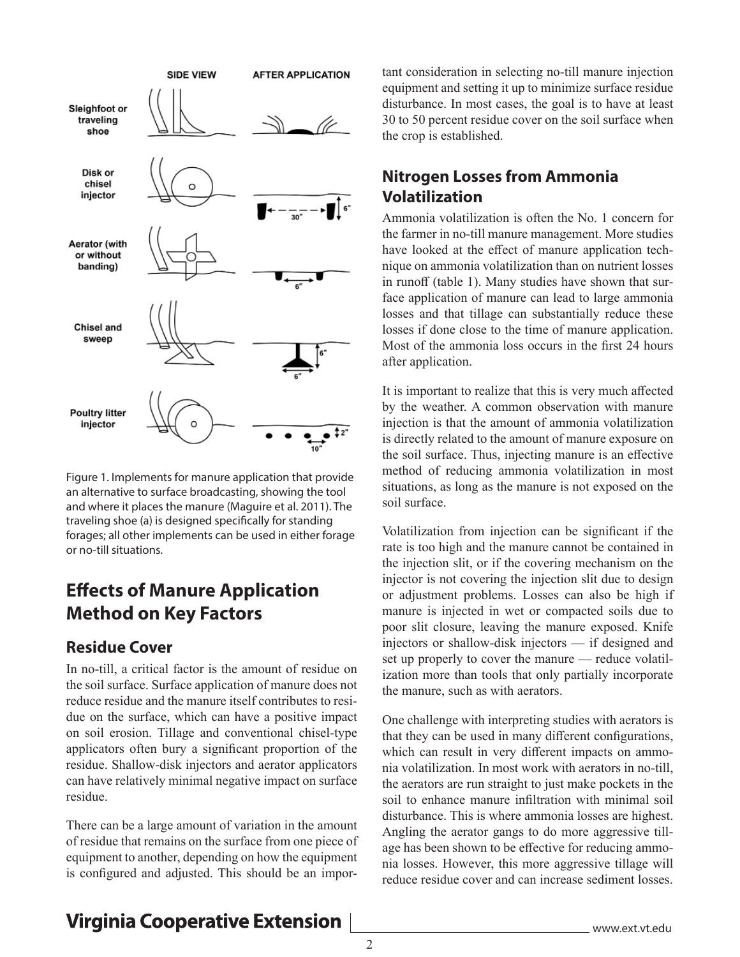

Figure 1. Implements for manure application that provide an alternative to surface broadcasting, showing the tool and where it places the manure (Maguire et al. 2011). The traveling shoe (a) is designed specifically for standing forages; all other implements can be used in either forage or no-till situations.

### **Effects of Manure Application Method on Key Factors**

#### **Residue Cover**

In no-till, a critical factor is the amount of residue on the soil surface. Surface application of manure does not reduce residue and the manure itself contributes to residue on the surface, which can have a positive impact on soil erosion. Tillage and conventional chisel-type applicators often bury a significant proportion of the residue. Shallow-disk injectors and aerator applicators can have relatively minimal negative impact on surface residue.

There can be a large amount of variation in the amount of residue that remains on the surface from one piece of equipment to another, depending on how the equipment is configured and adjusted. This should be an important consideration in selecting no-till manure injection equipment and setting it up to minimize surface residue disturbance. In most cases, the goal is to have at least 30 to 50 percent residue cover on the soil surface when the crop is established.

#### **Nitrogen Losses from Ammonia Volatilization**

Ammonia volatilization is often the No. 1 concern for the farmer in no-till manure management. More studies have looked at the effect of manure application technique on ammonia volatilization than on nutrient losses in runoff (table 1). Many studies have shown that surface application of manure can lead to large ammonia losses and that tillage can substantially reduce these losses if done close to the time of manure application. Most of the ammonia loss occurs in the first 24 hours after application.

It is important to realize that this is very much affected by the weather. A common observation with manure injection is that the amount of ammonia volatilization is directly related to the amount of manure exposure on the soil surface. Thus, injecting manure is an effective method of reducing ammonia volatilization in most situations, as long as the manure is not exposed on the soil surface.

Volatilization from injection can be significant if the rate is too high and the manure cannot be contained in the injection slit, or if the covering mechanism on the injector is not covering the injection slit due to design or adjustment problems. Losses can also be high if manure is injected in wet or compacted soils due to poor slit closure, leaving the manure exposed. Knife injectors or shallow-disk injectors — if designed and set up properly to cover the manure — reduce volatilization more than tools that only partially incorporate the manure, such as with aerators.

One challenge with interpreting studies with aerators is that they can be used in many different configurations, which can result in very different impacts on ammonia volatilization. In most work with aerators in no-till, the aerators are run straight to just make pockets in the soil to enhance manure infiltration with minimal soil disturbance. This is where ammonia losses are highest. Angling the aerator gangs to do more aggressive tillage has been shown to be effective for reducing ammonia losses. However, this more aggressive tillage will reduce residue cover and can increase sediment losses.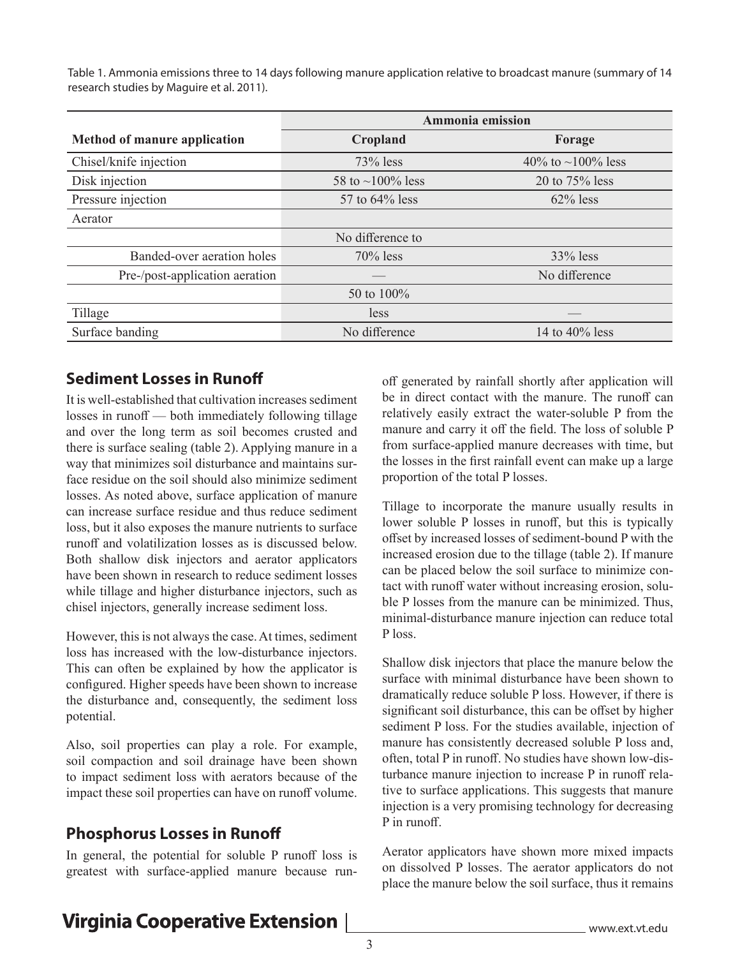Table 1. Ammonia emissions three to 14 days following manure application relative to broadcast manure (summary of 14 research studies by Maguire et al. 2011).

|                                     | Ammonia emission       |                   |  |  |  |
|-------------------------------------|------------------------|-------------------|--|--|--|
| <b>Method of manure application</b> | Cropland               | Forage            |  |  |  |
| Chisel/knife injection              | $73%$ less             | 40% to ~100% less |  |  |  |
| Disk injection                      | 58 to $\sim$ 100% less | 20 to $75%$ less  |  |  |  |
| Pressure injection                  | 57 to 64% less         | $62\%$ less       |  |  |  |
| Aerator                             |                        |                   |  |  |  |
|                                     | No difference to       |                   |  |  |  |
| Banded-over aeration holes          | $70\%$ less            | $33\%$ less       |  |  |  |
| Pre-/post-application aeration      |                        | No difference     |  |  |  |
|                                     | 50 to $100\%$          |                   |  |  |  |
| Tillage                             | less                   |                   |  |  |  |
| Surface banding                     | No difference          | 14 to $40\%$ less |  |  |  |

#### **Sediment Losses in Runoff**

It is well-established that cultivation increases sediment losses in runoff — both immediately following tillage and over the long term as soil becomes crusted and there is surface sealing (table 2). Applying manure in a way that minimizes soil disturbance and maintains surface residue on the soil should also minimize sediment losses. As noted above, surface application of manure can increase surface residue and thus reduce sediment loss, but it also exposes the manure nutrients to surface runoff and volatilization losses as is discussed below. Both shallow disk injectors and aerator applicators have been shown in research to reduce sediment losses while tillage and higher disturbance injectors, such as chisel injectors, generally increase sediment loss.

However, this is not always the case. At times, sediment loss has increased with the low-disturbance injectors. This can often be explained by how the applicator is configured. Higher speeds have been shown to increase the disturbance and, consequently, the sediment loss potential.

Also, soil properties can play a role. For example, soil compaction and soil drainage have been shown to impact sediment loss with aerators because of the impact these soil properties can have on runoff volume.

#### **Phosphorus Losses in Runoff**

In general, the potential for soluble P runoff loss is greatest with surface-applied manure because runoff generated by rainfall shortly after application will be in direct contact with the manure. The runoff can relatively easily extract the water-soluble P from the manure and carry it off the field. The loss of soluble P from surface-applied manure decreases with time, but the losses in the first rainfall event can make up a large proportion of the total P losses.

Tillage to incorporate the manure usually results in lower soluble P losses in runoff, but this is typically offset by increased losses of sediment-bound P with the increased erosion due to the tillage (table 2). If manure can be placed below the soil surface to minimize contact with runoff water without increasing erosion, soluble P losses from the manure can be minimized. Thus, minimal-disturbance manure injection can reduce total P loss.

Shallow disk injectors that place the manure below the surface with minimal disturbance have been shown to dramatically reduce soluble P loss. However, if there is significant soil disturbance, this can be offset by higher sediment P loss. For the studies available, injection of manure has consistently decreased soluble P loss and, often, total P in runoff. No studies have shown low-disturbance manure injection to increase P in runoff relative to surface applications. This suggests that manure injection is a very promising technology for decreasing P in runoff.

Aerator applicators have shown more mixed impacts on dissolved P losses. The aerator applicators do not place the manure below the soil surface, thus it remains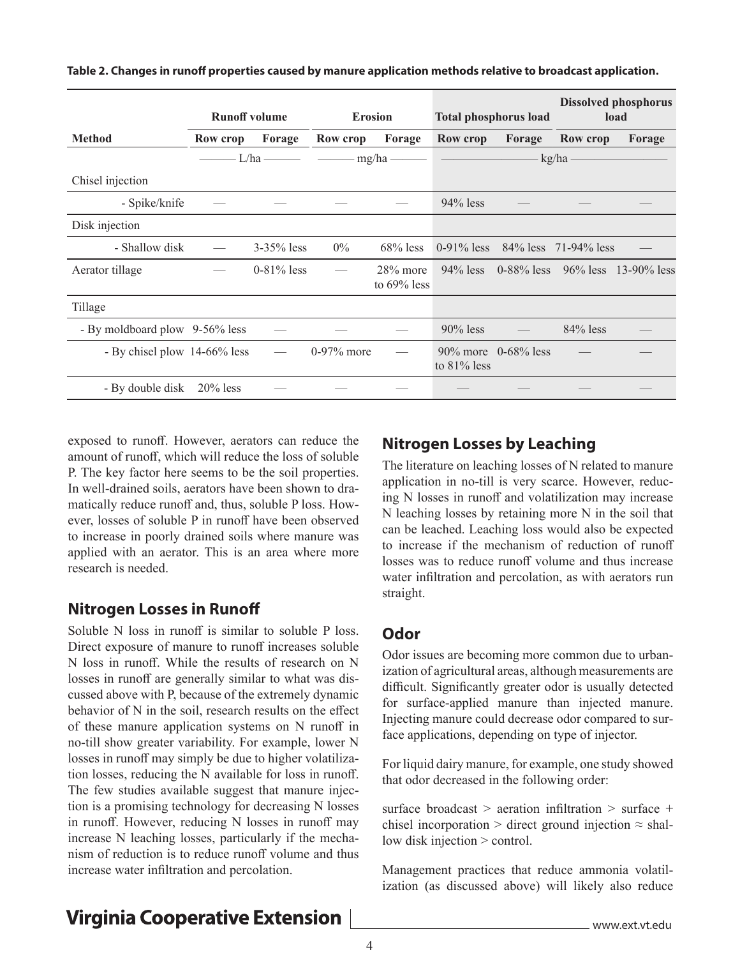|                                | <b>Runoff volume</b> |                 | <b>Erosion</b>                                                                   |                               | <b>Total phosphorus load</b> |                        |                                          | <b>Dissolved phosphorus</b><br>load   |
|--------------------------------|----------------------|-----------------|----------------------------------------------------------------------------------|-------------------------------|------------------------------|------------------------|------------------------------------------|---------------------------------------|
| <b>Method</b>                  | Row crop             | Forage          | Row crop                                                                         | Forage                        | Row crop                     | Forage                 | <b>Row crop</b>                          | Forage                                |
|                                |                      |                 | $\frac{1}{h}$ L/ha $\frac{1}{h}$ $\frac{1}{h}$ mg/ha $\frac{1}{h}$ $\frac{1}{h}$ |                               |                              |                        | - kg/ha —                                |                                       |
| Chisel injection               |                      |                 |                                                                                  |                               |                              |                        |                                          |                                       |
| - Spike/knife                  |                      |                 |                                                                                  |                               | $94\%$ less                  |                        |                                          |                                       |
| Disk injection                 |                      |                 |                                                                                  |                               |                              |                        |                                          |                                       |
| - Shallow disk                 |                      | $3 - 35\%$ less | $0\%$                                                                            | $68\%$ less                   |                              |                        | $0-91\%$ less $84\%$ less $71-94\%$ less |                                       |
| Aerator tillage                |                      | $0-81\%$ less   |                                                                                  | $28\%$ more<br>to $69\%$ less | $94\%$ less                  |                        |                                          | $0-88\%$ less $96\%$ less 13-90% less |
| Tillage                        |                      |                 |                                                                                  |                               |                              |                        |                                          |                                       |
| - By moldboard plow 9-56% less |                      |                 |                                                                                  |                               | $90\%$ less                  |                        | $84\%$ less                              |                                       |
| - By chisel plow 14-66% less   |                      |                 | $0-97\%$ more                                                                    |                               | to $81\%$ less               | $90\%$ more 0-68% less |                                          |                                       |
| - By double disk               | $20\%$ less          |                 |                                                                                  |                               |                              |                        |                                          |                                       |

#### **Table 2. Changes in runoff properties caused by manure application methods relative to broadcast application.**

exposed to runoff. However, aerators can reduce the amount of runoff, which will reduce the loss of soluble P. The key factor here seems to be the soil properties. In well-drained soils, aerators have been shown to dramatically reduce runoff and, thus, soluble P loss. However, losses of soluble P in runoff have been observed to increase in poorly drained soils where manure was applied with an aerator. This is an area where more research is needed.

#### **Nitrogen Losses in Runoff**

Soluble N loss in runoff is similar to soluble P loss. Direct exposure of manure to runoff increases soluble N loss in runoff. While the results of research on N losses in runoff are generally similar to what was discussed above with P, because of the extremely dynamic behavior of N in the soil, research results on the effect of these manure application systems on N runoff in no-till show greater variability. For example, lower N losses in runoff may simply be due to higher volatilization losses, reducing the N available for loss in runoff. The few studies available suggest that manure injection is a promising technology for decreasing N losses in runoff. However, reducing N losses in runoff may increase N leaching losses, particularly if the mechanism of reduction is to reduce runoff volume and thus increase water infiltration and percolation.

### **Nitrogen Losses by Leaching**

The literature on leaching losses of N related to manure application in no-till is very scarce. However, reducing N losses in runoff and volatilization may increase N leaching losses by retaining more N in the soil that can be leached. Leaching loss would also be expected to increase if the mechanism of reduction of runoff losses was to reduce runoff volume and thus increase water infiltration and percolation, as with aerators run straight.

#### **Odor**

Odor issues are becoming more common due to urbanization of agricultural areas, although measurements are difficult. Significantly greater odor is usually detected for surface-applied manure than injected manure. Injecting manure could decrease odor compared to surface applications, depending on type of injector.

For liquid dairy manure, for example, one study showed that odor decreased in the following order:

surface broadcast > aeration infiltration > surface + chisel incorporation > direct ground injection  $\approx$  shallow disk injection > control.

Management practices that reduce ammonia volatilization (as discussed above) will likely also reduce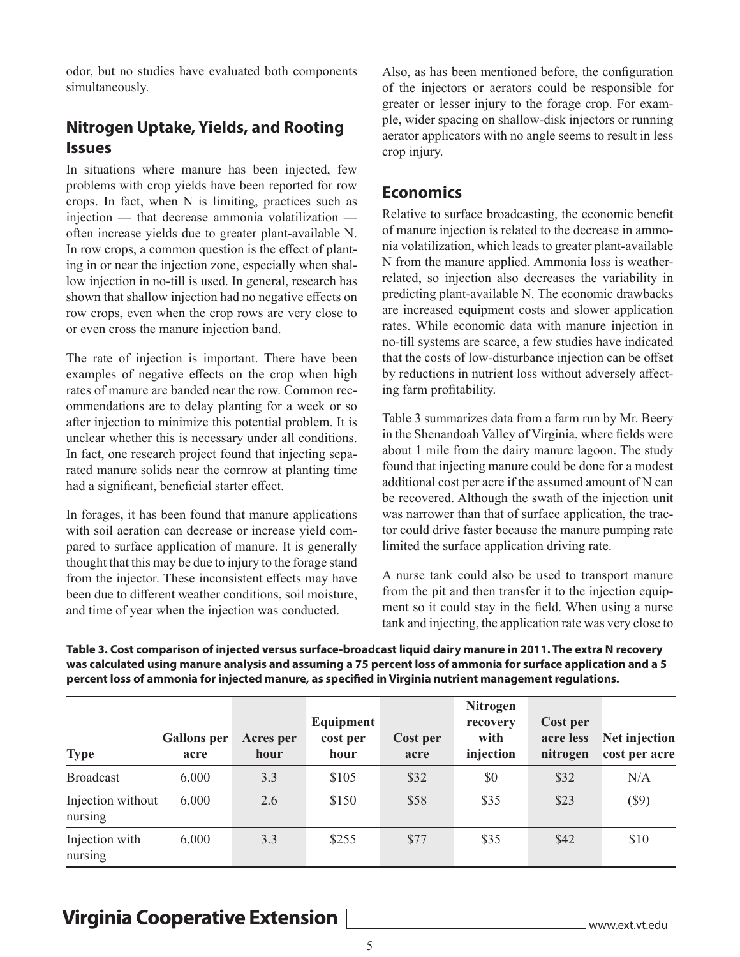odor, but no studies have evaluated both components simultaneously.

### **Nitrogen Uptake, Yields, and Rooting Issues**

In situations where manure has been injected, few problems with crop yields have been reported for row crops. In fact, when N is limiting, practices such as injection — that decrease ammonia volatilization often increase yields due to greater plant-available N. In row crops, a common question is the effect of planting in or near the injection zone, especially when shallow injection in no-till is used. In general, research has shown that shallow injection had no negative effects on row crops, even when the crop rows are very close to or even cross the manure injection band.

The rate of injection is important. There have been examples of negative effects on the crop when high rates of manure are banded near the row. Common recommendations are to delay planting for a week or so after injection to minimize this potential problem. It is unclear whether this is necessary under all conditions. In fact, one research project found that injecting separated manure solids near the cornrow at planting time had a significant, beneficial starter effect.

In forages, it has been found that manure applications with soil aeration can decrease or increase yield compared to surface application of manure. It is generally thought that this may be due to injury to the forage stand from the injector. These inconsistent effects may have been due to different weather conditions, soil moisture, and time of year when the injection was conducted.

Also, as has been mentioned before, the configuration of the injectors or aerators could be responsible for greater or lesser injury to the forage crop. For example, wider spacing on shallow-disk injectors or running aerator applicators with no angle seems to result in less crop injury.

#### **Economics**

Relative to surface broadcasting, the economic benefit of manure injection is related to the decrease in ammonia volatilization, which leads to greater plant-available N from the manure applied. Ammonia loss is weatherrelated, so injection also decreases the variability in predicting plant-available N. The economic drawbacks are increased equipment costs and slower application rates. While economic data with manure injection in no-till systems are scarce, a few studies have indicated that the costs of low-disturbance injection can be offset by reductions in nutrient loss without adversely affecting farm profitability.

Table 3 summarizes data from a farm run by Mr. Beery in the Shenandoah Valley of Virginia, where fields were about 1 mile from the dairy manure lagoon. The study found that injecting manure could be done for a modest additional cost per acre if the assumed amount of N can be recovered. Although the swath of the injection unit was narrower than that of surface application, the tractor could drive faster because the manure pumping rate limited the surface application driving rate.

A nurse tank could also be used to transport manure from the pit and then transfer it to the injection equipment so it could stay in the field. When using a nurse tank and injecting, the application rate was very close to

**Table 3. Cost comparison of injected versus surface-broadcast liquid dairy manure in 2011. The extra N recovery was calculated using manure analysis and assuming a 75 percent loss of ammonia for surface application and a 5 percent loss of ammonia for injected manure, as specified in Virginia nutrient management regulations.**

| <b>Type</b>                  | <b>Gallons</b> per<br>acre | <b>Acres</b> per<br>hour | Equipment<br>cost per<br>hour | Cost per<br>acre | <b>Nitrogen</b><br>recovery<br>with<br>injection | Cost per<br>acre less<br>nitrogen | Net injection<br>cost per acre |
|------------------------------|----------------------------|--------------------------|-------------------------------|------------------|--------------------------------------------------|-----------------------------------|--------------------------------|
| <b>Broadcast</b>             | 6,000                      | 3.3                      | \$105                         | \$32             | \$0                                              | \$32                              | N/A                            |
| Injection without<br>nursing | 6,000                      | 2.6                      | \$150                         | \$58             | \$35                                             | \$23                              | $($ \$9)                       |
| Injection with<br>nursing    | 6,000                      | 3.3                      | \$255                         | \$77             | \$35                                             | \$42                              | \$10                           |

# **Virginia Cooperative Extension**

www.ext.vt.edu